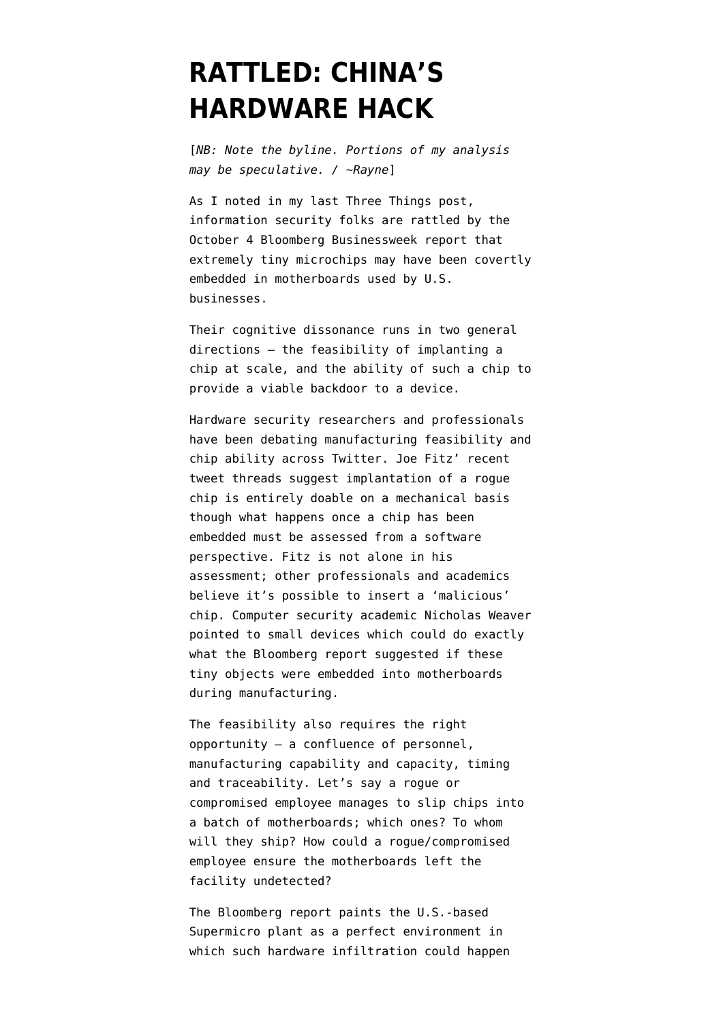## **[RATTLED: CHINA'S](https://www.emptywheel.net/2018/10/08/rattled-chinas-hardware-hack/) [HARDWARE HACK](https://www.emptywheel.net/2018/10/08/rattled-chinas-hardware-hack/)**

[*NB: Note the byline. Portions of my analysis may be speculative. / ~Rayne*]

As I noted in my last [Three Things post,](https://www.emptywheel.net/2018/10/04/three-things-russia-and-china-spying-kavanope/) information security folks are rattled by the October 4 Bloomberg Businessweek [report](https://www.bloomberg.com/news/features/2018-10-04/the-big-hack-how-china-used-a-tiny-chip-to-infiltrate-america-s-top-companies?srnd=premium) that extremely tiny microchips may have been covertly embedded in motherboards used by U.S. businesses.

Their cognitive dissonance runs in two general directions — the feasibility of implanting a chip at scale, and the ability of such a chip to provide a viable backdoor to a device.

Hardware security researchers and professionals have been debating manufacturing feasibility and chip ability across Twitter. Joe Fitz' [recent](https://twitter.com/securelyfitz/status/1047942845628207104) [tweet threads](https://twitter.com/securelyfitz/status/1047942845628207104) suggest implantation of a rogue chip is [entirely doable](https://twitter.com/securelyfitz/status/1047981698783305728) on a mechanical basis though what happens once a chip has been embedded must be assessed from a software perspective. Fitz is not alone in his assessment; other professionals and academics believe it's possible to insert a 'malicious' chip. Computer security academic Nicholas Weaver pointed to [small devices](https://twitter.com/ncweaver/status/1047876733095968768) which could do exactly what the Bloomberg report suggested if these tiny objects were embedded into motherboards during manufacturing.

The feasibility also requires the right opportunity — a confluence of personnel, manufacturing capability and capacity, timing and traceability. Let's say a rogue or compromised employee manages to slip chips into a batch of motherboards; which ones? To whom will they ship? How could a rogue/compromised employee ensure the motherboards left the facility undetected?

The Bloomberg report paints the U.S.-based Supermicro plant as a perfect environment in which such hardware infiltration could happen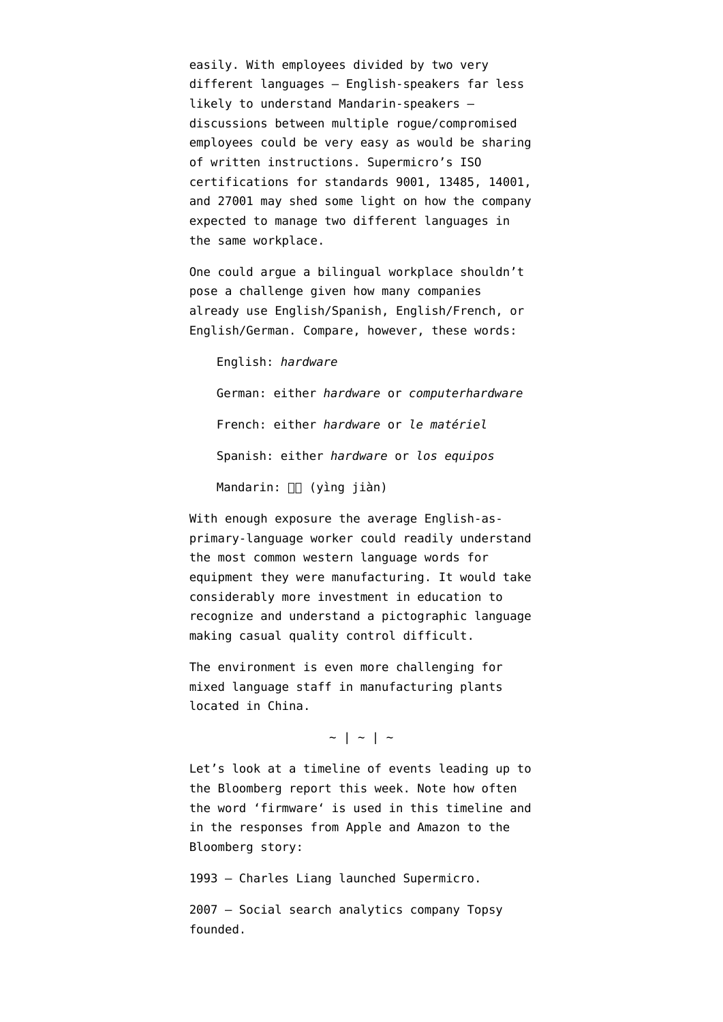easily. With employees divided by two very different languages — English-speakers far less likely to understand Mandarin-speakers discussions between multiple rogue/compromised employees could be very easy as would be sharing of written instructions. Supermicro's ISO certifications for standards 9001, 13485, 14001, and 27001 may shed some light on how the company expected to manage two different languages in the same workplace.

One could argue a bilingual workplace shouldn't pose a challenge given how many companies already use English/Spanish, English/French, or English/German. Compare, however, these words:

English: *hardware*

German: either *hardware* or *computerhardware* French: either *hardware* or *le matériel* Spanish: either *hardware* or *los equipos* Mandarin:  $\Box$  (yìng jiàn)

With enough exposure the average English-asprimary-language worker could readily understand the most common western language words for equipment they were manufacturing. It would take considerably more investment in education to recognize and understand a pictographic language making casual quality control difficult.

The environment is even more challenging for mixed language staff in manufacturing plants located in China.

 $\sim$  | ~ | ~

Let's look at a timeline of events leading up to the Bloomberg report this week. Note how often the word '[firmware'](https://en.wikipedia.org/wiki/Firmware) is used in this timeline and in [the responses from Apple and Amazon](https://www.bloomberg.com/news/articles/2018-10-04/the-big-hack-amazon-apple-supermicro-and-beijing-respond) to the Bloomberg story:

1993 — Charles Liang launched Supermicro.

2007 — Social search analytics company Topsy founded.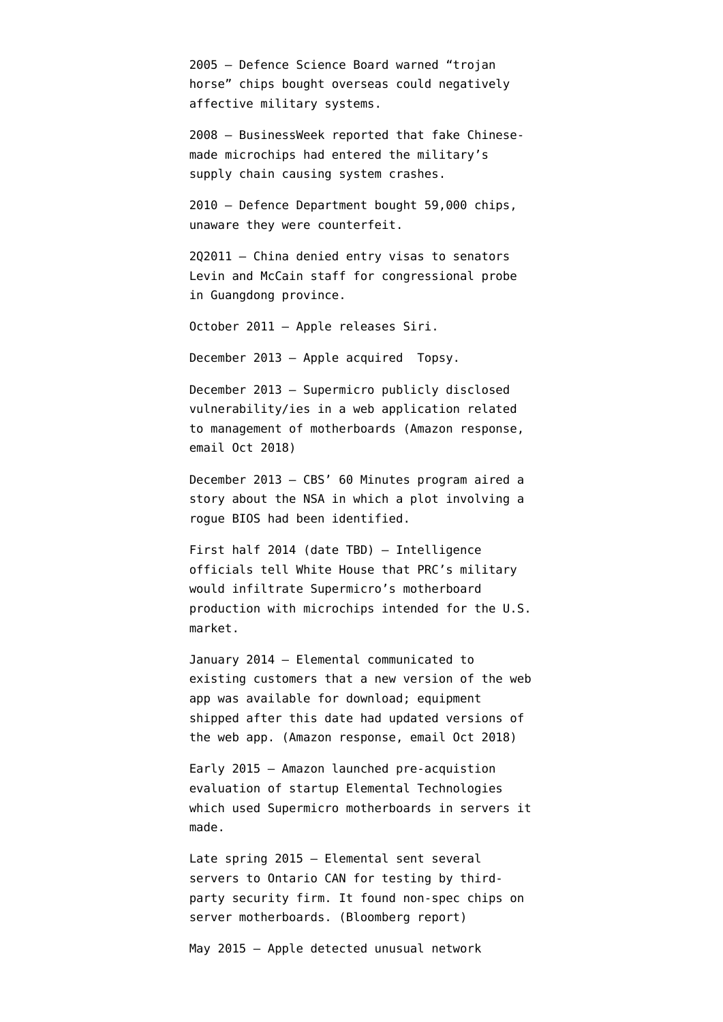2005 — Defence Science Board [warned](https://www.theatlantic.com/technology/archive/2011/06/us-military-fake-microchips-china/352255/) "trojan horse" chips bought overseas could negatively affective military systems.

2008 — BusinessWeek [reported](https://www.bloomberg.com/news/articles/2008-10-01/dangerous-fakes) that fake Chinesemade microchips had entered the military's supply chain causing system crashes.

2010 — Defence Department [bought](https://www.theatlantic.com/technology/archive/2011/06/us-military-fake-microchips-china/352255/) 59,000 chips, unaware they were counterfeit.

2Q2011 — China denied entry visas to senators Levin and McCain staff for congressional probe in Guangdong province.

October 2011 — Apple releases Siri.

December 2013 — Apple acquired Topsy.

December 2013 — Supermicro publicly disclosed vulnerability/ies in a web application related to management of motherboards (Amazon response, email Oct 2018)

December 2013 — CBS' 60 Minutes program [aired a](https://www.cbsnews.com/news/nsa-speaks-out-on-snowden-spying/) [story](https://www.cbsnews.com/news/nsa-speaks-out-on-snowden-spying/) about the NSA in which a plot involving a rogue BIOS had been identified.

First half 2014 (date TBD) — Intelligence officials tell White House that PRC's military would infiltrate Supermicro's motherboard production with microchips intended for the U.S. market.

January 2014 — Elemental communicated to existing customers that a new version of the web app was available for download; equipment shipped after this date had updated versions of the web app. (Amazon response, email Oct 2018)

Early 2015 — Amazon launched pre-acquistion evaluation of startup Elemental Technologies which used Supermicro motherboards in servers it made.

Late spring 2015 — Elemental sent several servers to Ontario CAN for testing by thirdparty security firm. It found non-spec chips on server motherboards. (Bloomberg report)

May 2015 — Apple detected unusual network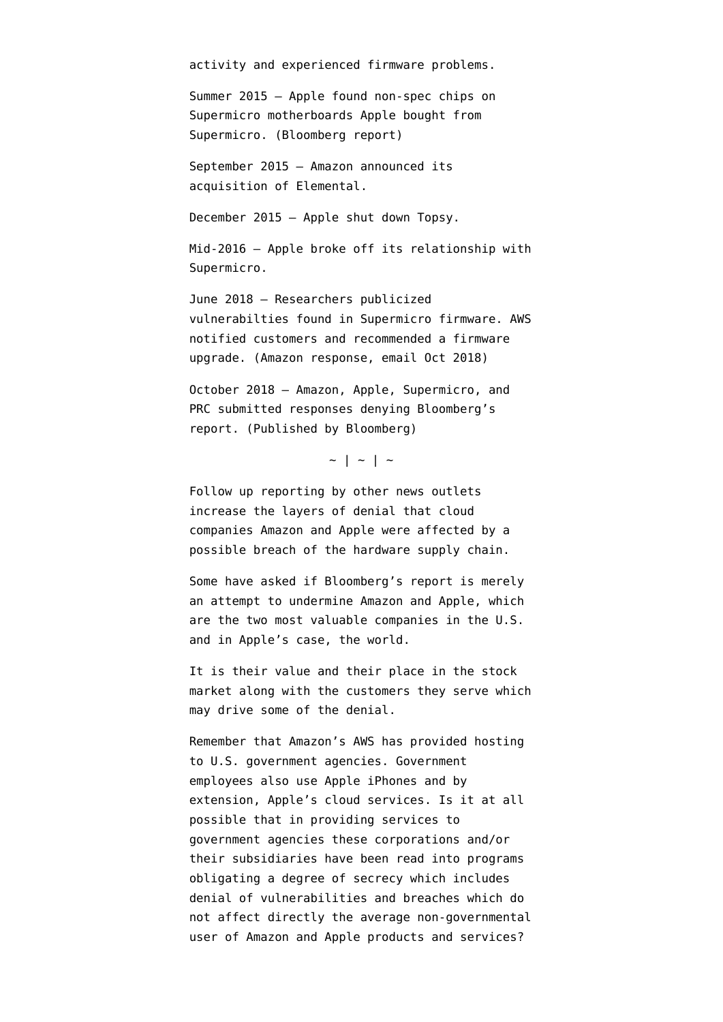activity and experienced firmware problems.

Summer 2015 — Apple found non-spec chips on Supermicro motherboards Apple bought from Supermicro. (Bloomberg report)

September 2015 — Amazon [announced its](https://www.elemental.com/newsroom/press-releases/amazon-web-services-acquire-elemental) [acquisition](https://www.elemental.com/newsroom/press-releases/amazon-web-services-acquire-elemental) of Elemental.

December 2015 — Apple shut down Topsy.

Mid-2016 — Apple [broke off its relationship](https://www.macrumors.com/2017/02/23/apple-ends-relationship-with-super-micro/) with Supermicro.

June 2018 — Researchers publicized vulnerabilties found in Supermicro firmware. AWS notified customers and recommended a firmware upgrade. (Amazon response, email Oct 2018)

October 2018 — Amazon, Apple, Supermicro, and PRC submitted [responses denying](https://www.bloomberg.com/news/articles/2018-10-04/the-big-hack-amazon-apple-supermicro-and-beijing-respond) Bloomberg's report. (Published by Bloomberg)

 $\sim$  | ~ | ~

Follow up reporting by other news outlets increase the layers of denial that cloud companies Amazon and Apple were affected by a possible breach of the hardware supply chain.

Some have asked if Bloomberg's report is merely an attempt to undermine Amazon and Apple, which are the two most valuable companies in the U.S. and in Apple's case, the world.

It is their value and their place in the stock market along with the customers they serve which may drive some of the denial.

Remember that Amazon's AWS has provided hosting to U.S. government agencies. Government employees also use Apple iPhones and by extension, Apple's cloud services. Is it at all possible that in providing services to government agencies these corporations and/or their subsidiaries have been read into programs obligating a degree of secrecy which includes denial of vulnerabilities and breaches which do not affect directly the average non-governmental user of Amazon and Apple products and services?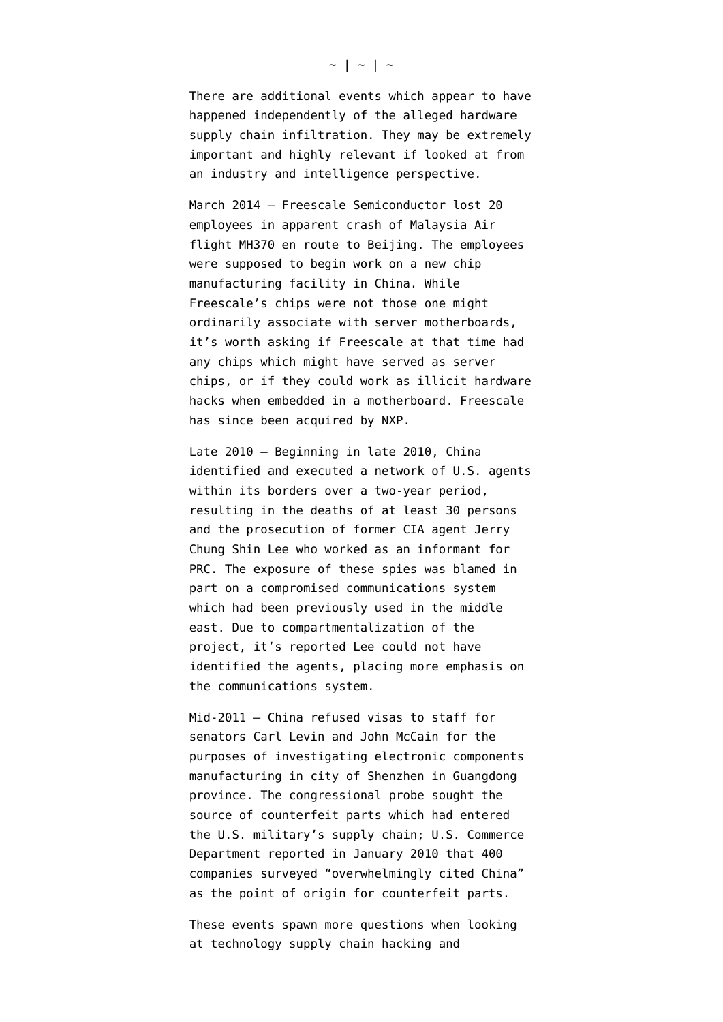There are additional events which appear to have happened independently of the alleged hardware supply chain infiltration. They may be extremely important and highly relevant if looked at from an industry and intelligence perspective.

March 2014 — [Freescale Semiconductor](https://en.wikipedia.org/wiki/Freescale_Semiconductor) lost 20 employees in apparent [crash of Malaysia Air](https://www.theregister.co.uk/2014/03/09/20_freescale_employees_missing_on_mh370/) [flight MH370](https://www.theregister.co.uk/2014/03/09/20_freescale_employees_missing_on_mh370/) en route to Beijing. The employees were supposed to begin work on a new chip manufacturing facility in China. While Freescale's chips were not those one might ordinarily associate with server motherboards, it's worth asking if Freescale at that time had any chips which might have served as server chips, or if they could work as illicit hardware hacks when embedded in a motherboard. Freescale has since been acquired by [NXP.](https://en.wikipedia.org/wiki/NXP_Semiconductors)

Late 2010 — Beginning in late 2010, China [identified and executed a network of U.S. agents](https://www.nytimes.com/2017/05/20/world/asia/china-cia-spies-espionage.html) within its borders over a two-year period, resulting in the deaths of at least 30 persons and the prosecution of former CIA agent Jerry Chung Shin Lee who worked as an informant for PRC. The exposure of these spies was blamed in part on a [compromised communications system](https://foreignpolicy.com/2018/08/15/botched-cia-communications-system-helped-blow-cover-chinese-agents-intelligence/) which had been previously used in the middle east. Due to compartmentalization of the project, it's reported Lee could not have identified the agents, placing more emphasis on the communications system.

Mid-2011 — China [refused visas to staff](https://www.defencetalk.com/us-senators-slam-china-on-military-parts-probe-34927/) for senators Carl Levin and John McCain for the purposes of investigating electronic components manufacturing in city of Shenzhen in Guangdong province. The congressional probe sought the source of counterfeit parts which had entered the U.S. military's supply chain; U.S. Commerce Department reported in January 2010 that 400 companies surveyed "overwhelmingly cited China" as the point of origin for counterfeit parts.

These events spawn more questions when looking at technology supply chain hacking and

## $\sim$  | ~ | ~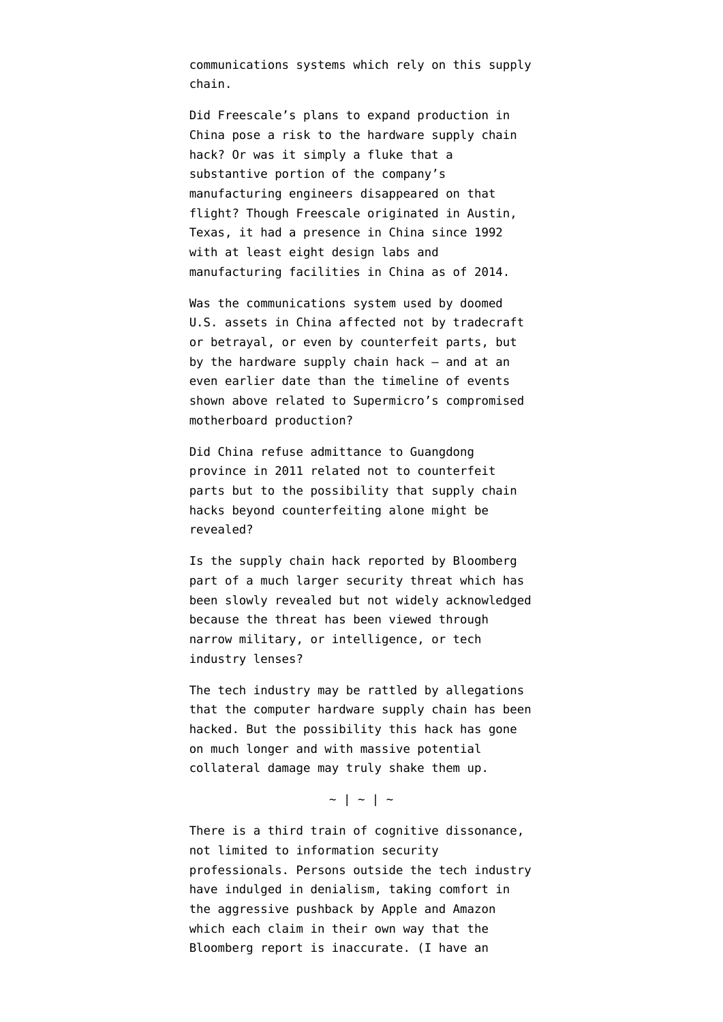communications systems which rely on this supply chain.

Did Freescale's plans to expand production in China pose a risk to the hardware supply chain hack? Or was it simply a fluke that a substantive portion of the company's manufacturing engineers disappeared on that flight? Though Freescale originated in Austin, Texas, it had a presence in China since 1992 with at least eight design labs and manufacturing facilities in China as of 2014.

Was the [communications system used by doomed](https://www.emptywheel.net/2017/05/20/were-shitty-saic-systems-the-cause-of-the-cias-china-disaster/) [U.S. assets](https://www.emptywheel.net/2017/05/20/were-shitty-saic-systems-the-cause-of-the-cias-china-disaster/) in China affected not by tradecraft or betrayal, or even by counterfeit parts, but by the hardware supply chain hack — and at an even earlier date than the timeline of events shown above related to Supermicro's compromised motherboard production?

Did China refuse admittance to Guangdong province in 2011 related not to counterfeit parts but to the possibility that supply chain hacks beyond counterfeiting alone might be revealed?

Is the supply chain hack reported by Bloomberg part of a much larger security threat which has been slowly revealed but not widely acknowledged because the threat has been viewed through narrow military, or intelligence, or tech industry lenses?

The tech industry may be rattled by allegations that the computer hardware supply chain has been hacked. But the possibility this hack has gone on much longer and with massive potential collateral damage may truly shake them up.

## $\sim$  | ~ | ~

There is a third train of cognitive dissonance, not limited to information security professionals. Persons outside the tech industry have indulged in denialism, taking comfort in the aggressive pushback by Apple and Amazon which each claim in their own way that the Bloomberg report is inaccurate. (I have an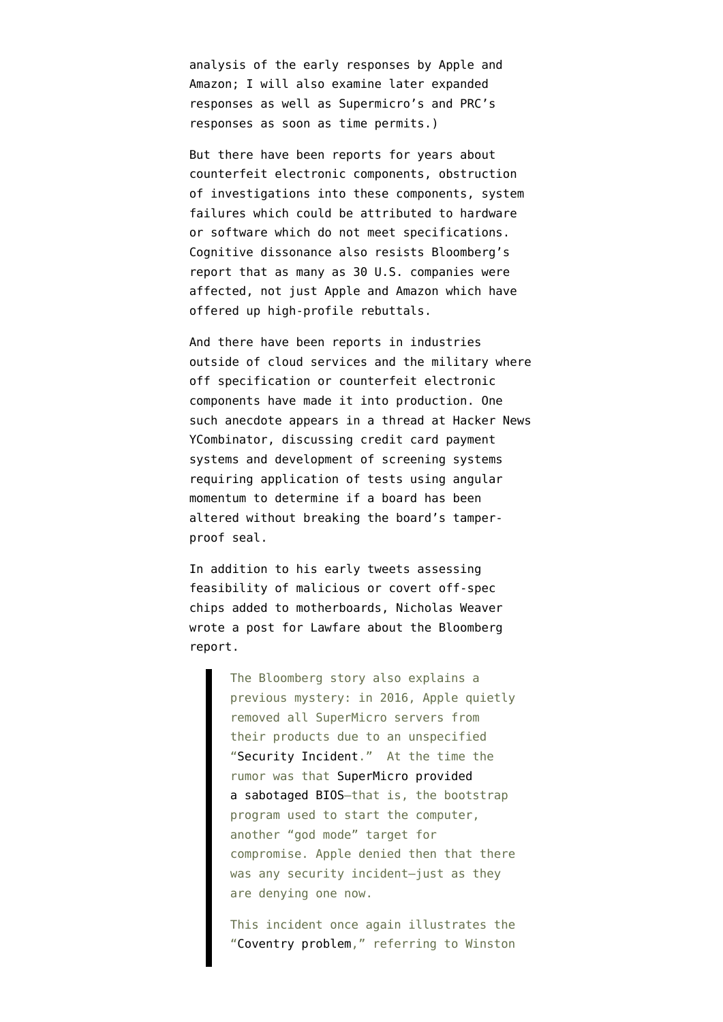analysis of the early responses by Apple and Amazon; I will also examine later expanded responses as well as Supermicro's and PRC's responses as soon as time permits.)

But there have been reports for years about counterfeit electronic components, obstruction of investigations into these components, system failures which could be attributed to hardware or software which do not meet specifications. Cognitive dissonance also resists Bloomberg's report that as many as 30 U.S. companies were affected, not just Apple and Amazon which have offered up high-profile rebuttals.

And there have been reports in industries outside of cloud services and the military where off specification or counterfeit electronic components have made it into production. One such anecdote appears in [a thread at Hacker News](https://news.ycombinator.com/item?id=18138699) [YCombinator](https://news.ycombinator.com/item?id=18138699), discussing credit card payment systems and development of screening systems requiring application of tests using angular momentum to determine if a board has been altered without breaking the board's tamperproof seal.

In addition to his early tweets assessing feasibility of malicious or covert off-spec chips added to motherboards, Nicholas Weaver [wrote a post for Lawfare](https://www.lawfareblog.com/china-supermicro-hack-about-bloomberg-report) about the Bloomberg report.

> The Bloomberg story also explains a previous mystery: in 2016, Apple quietly removed all SuperMicro servers from their products due to an unspecified "[Security Incident](https://www.theinformation.com/articles/apple-severed-ties-with-server-supplier-after-security-concern?shared=516084)." At the time the rumor was that [SuperMicro provided](https://arstechnica.com/information-technology/2017/02/apple-axed-supermicro-servers-from-datacenters-because-of-bad-firmware-update/) [a sabotaged BIOS—](https://arstechnica.com/information-technology/2017/02/apple-axed-supermicro-servers-from-datacenters-because-of-bad-firmware-update/)that is, the bootstrap program used to start the computer, another "god mode" target for compromise. Apple denied then that there was any security incident—just as they are denying one now.

> This incident once again illustrates the "[Coventry problem](https://en.wikipedia.org/wiki/Coventry_Blitz#Coventry_and_Ultra)," referring to Winston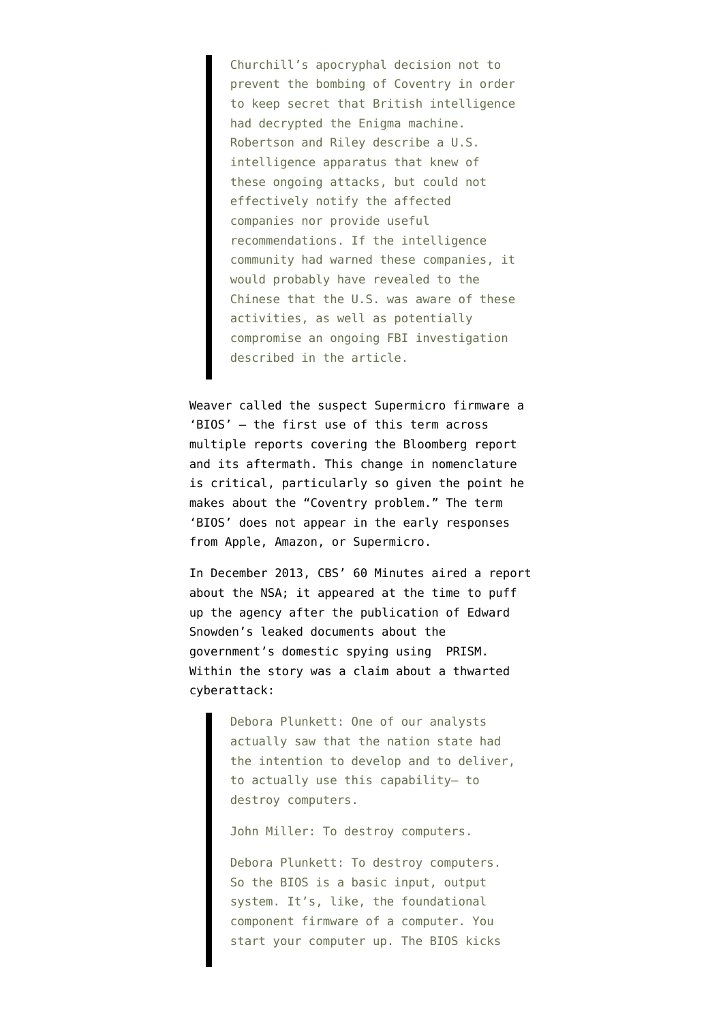Churchill's apocryphal decision not to prevent the bombing of Coventry in order to keep secret that British intelligence had decrypted the Enigma machine. Robertson and Riley describe a U.S. intelligence apparatus that knew of these ongoing attacks, but could not effectively notify the affected companies nor provide useful recommendations. If the intelligence community had warned these companies, it would probably have revealed to the Chinese that the U.S. was aware of these activities, as well as potentially compromise an ongoing FBI investigation described in the article.

Weaver called the suspect Supermicro firmware a '[BIOS'](https://en.wikipedia.org/wiki/CP/M#BIOS) — the first use of this term across multiple reports covering the Bloomberg report and its aftermath. This change in nomenclature is critical, particularly so given the point he makes about the "Coventry problem." The term 'BIOS' does not appear in the early responses from Apple, Amazon, or Supermicro.

In December 2013, CBS' 60 Minutes aired a report about the NSA; it appeared at the time to puff up the agency after the publication of Edward Snowden's leaked documents about the government's domestic spying using PRISM. Within the story was a claim about a thwarted cyberattack:

> Debora Plunkett: One of our analysts actually saw that the nation state had the intention to develop and to deliver, to actually use this capability— to destroy computers.

John Miller: To destroy computers.

Debora Plunkett: To destroy computers. So the BIOS is a basic input, output system. It's, like, the foundational component firmware of a computer. You start your computer up. The BIOS kicks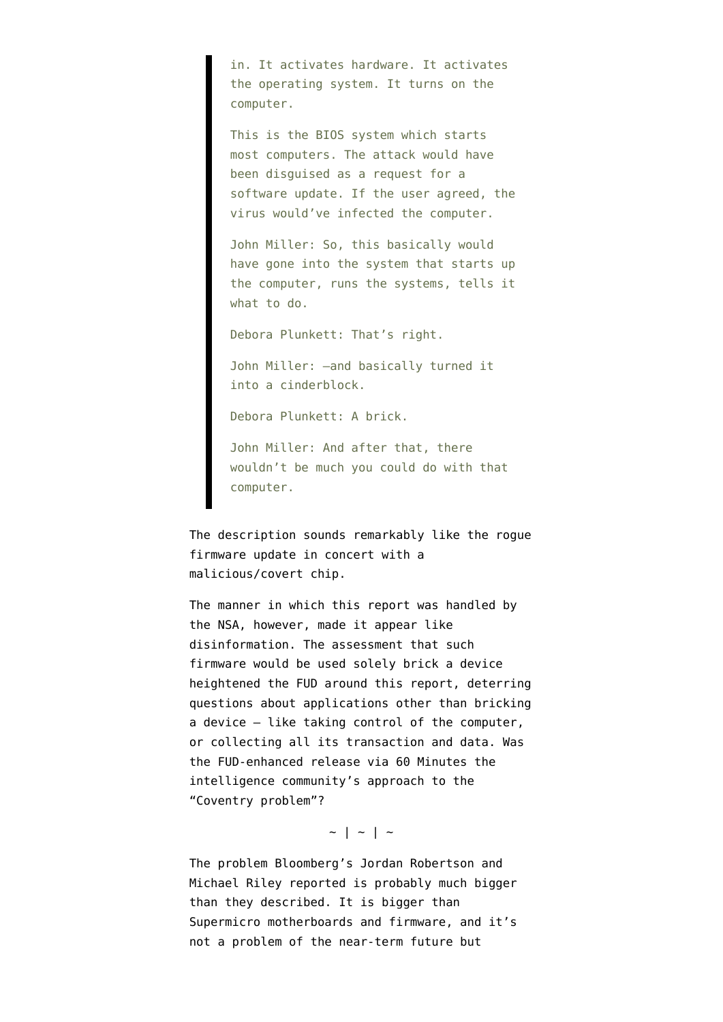in. It activates hardware. It activates the operating system. It turns on the computer.

This is the BIOS system which starts most computers. The attack would have been disguised as a request for a software update. If the user agreed, the virus would've infected the computer.

John Miller: So, this basically would have gone into the system that starts up the computer, runs the systems, tells it what to do.

Debora Plunkett: That's right.

John Miller: —and basically turned it into a cinderblock.

Debora Plunkett: A brick.

John Miller: And after that, there wouldn't be much you could do with that computer.

The description sounds remarkably like the rogue firmware update in concert with a malicious/covert chip.

The manner in which this report was handled by the NSA, however, [made it appear like](https://www.emptywheel.net/2017/01/04/did-nsa-just-reveal-its-china-bios-story-was-made-up/) [disinformation](https://www.emptywheel.net/2017/01/04/did-nsa-just-reveal-its-china-bios-story-was-made-up/). The assessment that such firmware would be used solely brick a device heightened the FUD around this report, deterring questions about applications other than bricking a device — like taking control of the computer, or collecting all its transaction and data. Was the FUD-enhanced release via 60 Minutes the intelligence community's approach to the "Coventry problem"?

## $\sim$  | ~ | ~

The problem Bloomberg's Jordan Robertson and Michael Riley reported is probably much bigger than they described. It is bigger than Supermicro motherboards and firmware, and it's not a problem of the near-term future but